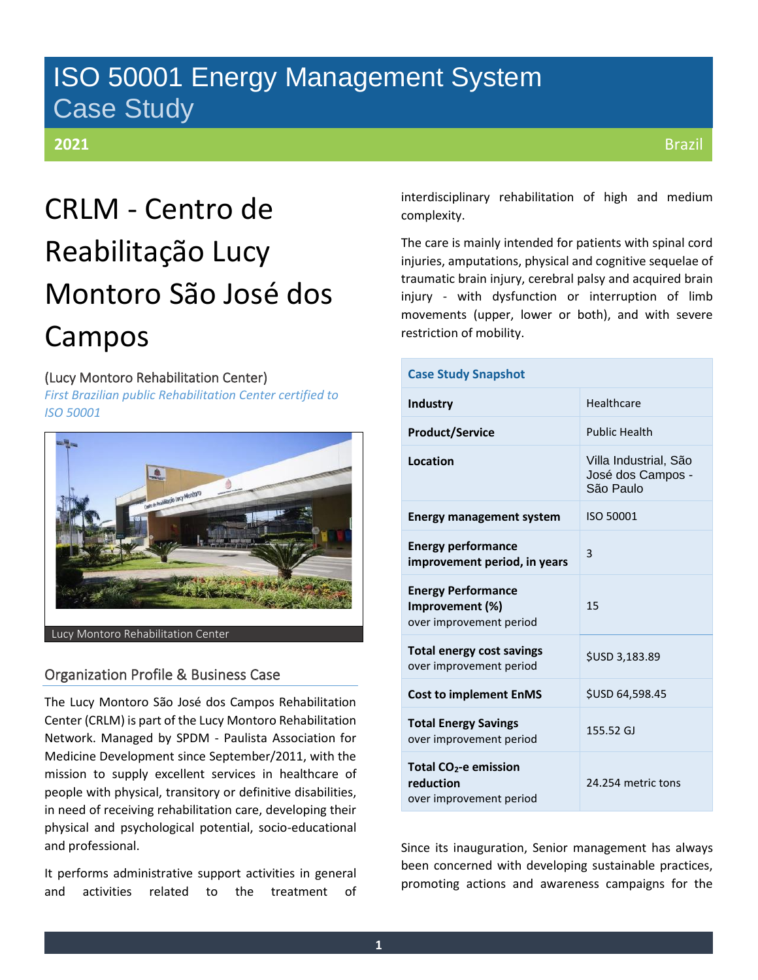## ISO 50001 Energy Management System Case Study

### **2021**

# CRLM - Centro de Reabilitação Lucy Montoro São José dos Campos

### (Lucy Montoro Rehabilitation Center)

*First Brazilian public Rehabilitation Center certified to ISO 50001*



Lucy Montoro Rehabilitation Center

### Organization Profile & Business Case

The Lucy Montoro São José dos Campos Rehabilitation Center (CRLM) is part of the Lucy Montoro Rehabilitation Network. Managed by SPDM - Paulista Association for Medicine Development since September/2011, with the mission to supply excellent services in healthcare of people with physical, transitory or definitive disabilities, in need of receiving rehabilitation care, developing their physical and psychological potential, socio-educational and professional.

It performs administrative support activities in general and activities related to the treatment of interdisciplinary rehabilitation of high and medium complexity.

The care is mainly intended for patients with spinal cord injuries, amputations, physical and cognitive sequelae of traumatic brain injury, cerebral palsy and acquired brain injury - with dysfunction or interruption of limb movements (upper, lower or both), and with severe restriction of mobility.

| <b>Case Study Snapshot</b>                                                |                                                         |  |  |  |  |
|---------------------------------------------------------------------------|---------------------------------------------------------|--|--|--|--|
| Industry                                                                  | Healthcare                                              |  |  |  |  |
| <b>Product/Service</b>                                                    | <b>Public Health</b>                                    |  |  |  |  |
| Location                                                                  | Villa Industrial, São<br>José dos Campos -<br>São Paulo |  |  |  |  |
| <b>Energy management system</b>                                           | ISO 50001                                               |  |  |  |  |
| <b>Energy performance</b><br>improvement period, in years                 | 3                                                       |  |  |  |  |
| <b>Energy Performance</b><br>Improvement (%)<br>over improvement period   | 15                                                      |  |  |  |  |
| <b>Total energy cost savings</b><br>over improvement period               | \$USD 3,183.89                                          |  |  |  |  |
| <b>Cost to implement EnMS</b>                                             | \$USD 64,598.45                                         |  |  |  |  |
| <b>Total Energy Savings</b><br>over improvement period                    | 155.52 GJ                                               |  |  |  |  |
| Total CO <sub>2</sub> -e emission<br>reduction<br>over improvement period | 24.254 metric tons                                      |  |  |  |  |

Since its inauguration, Senior management has always been concerned with developing sustainable practices, promoting actions and awareness campaigns for the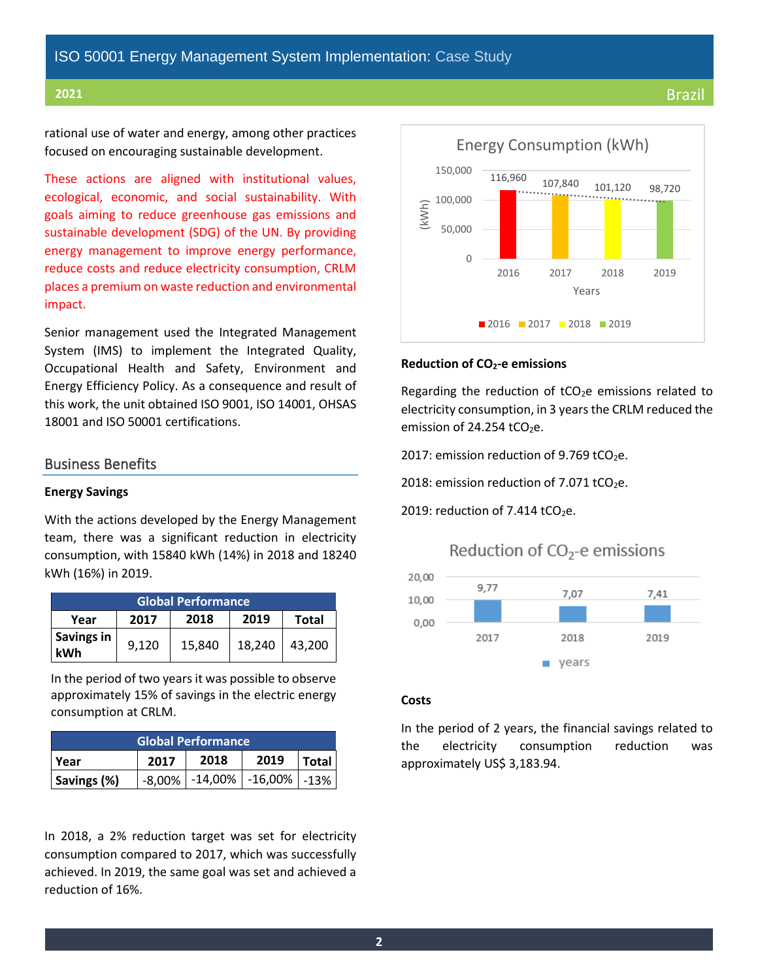### **2021** Brazil

rational use of water and energy, among other practices focused on encouraging sustainable development.

These actions are aligned with institutional values, ecological, economic, and social sustainability. With goals aiming to reduce greenhouse gas emissions and sustainable development (SDG) of the UN. By providing energy management to improve energy performance, reduce costs and reduce electricity consumption, CRLM places a premium on waste reduction and environmental impact.

Senior management used the Integrated Management System (IMS) to implement the Integrated Quality, Occupational Health and Safety, Environment and Energy Efficiency Policy. As a consequence and result of this work, the unit obtained ISO 9001, ISO 14001, OHSAS 18001 and ISO 50001 certifications.

### Business Benefits

### **Energy Savings**

With the actions developed by the Energy Management team, there was a significant reduction in electricity consumption, with 15840 kWh (14%) in 2018 and 18240 kWh (16%) in 2019.

| <b>Global Performance</b>                    |       |        |        |        |  |  |  |  |  |
|----------------------------------------------|-------|--------|--------|--------|--|--|--|--|--|
| 2019<br>2018<br>2017<br><b>Total</b><br>Year |       |        |        |        |  |  |  |  |  |
| Savings in<br>kWh                            | 9,120 | 15,840 | 18,240 | 43,200 |  |  |  |  |  |

In the period of two years it was possible to observe approximately 15% of savings in the electric energy consumption at CRLM.

| <b>Global Performance</b> |      |                                               |      |              |  |  |  |
|---------------------------|------|-----------------------------------------------|------|--------------|--|--|--|
| ı Year                    | 2017 | 2018                                          | 2019 | <b>Total</b> |  |  |  |
| Savings (%)               |      | $-8,00\%$   $-14,00\%$   $-16,00\%$   $-13\%$ |      |              |  |  |  |

In 2018, a 2% reduction target was set for electricity consumption compared to 2017, which was successfully achieved. In 2019, the same goal was set and achieved a reduction of 16%.



### **Reduction of CO2-e emissions**

Regarding the reduction of  $tCO<sub>2</sub>e$  emissions related to electricity consumption, in 3 years the CRLM reduced the emission of 24.254  $tCO<sub>2</sub>e$ .

2017: emission reduction of 9.769 tCO<sub>2</sub>e.

2018: emission reduction of  $7.071$  tCO<sub>2</sub>e.

2019: reduction of  $7.414$  tCO<sub>2</sub>e.

Reduction of  $CO<sub>2</sub>$ -e emissions



### **Costs**

In the period of 2 years, the financial savings related to the electricity consumption reduction was approximately US\$ 3,183.94.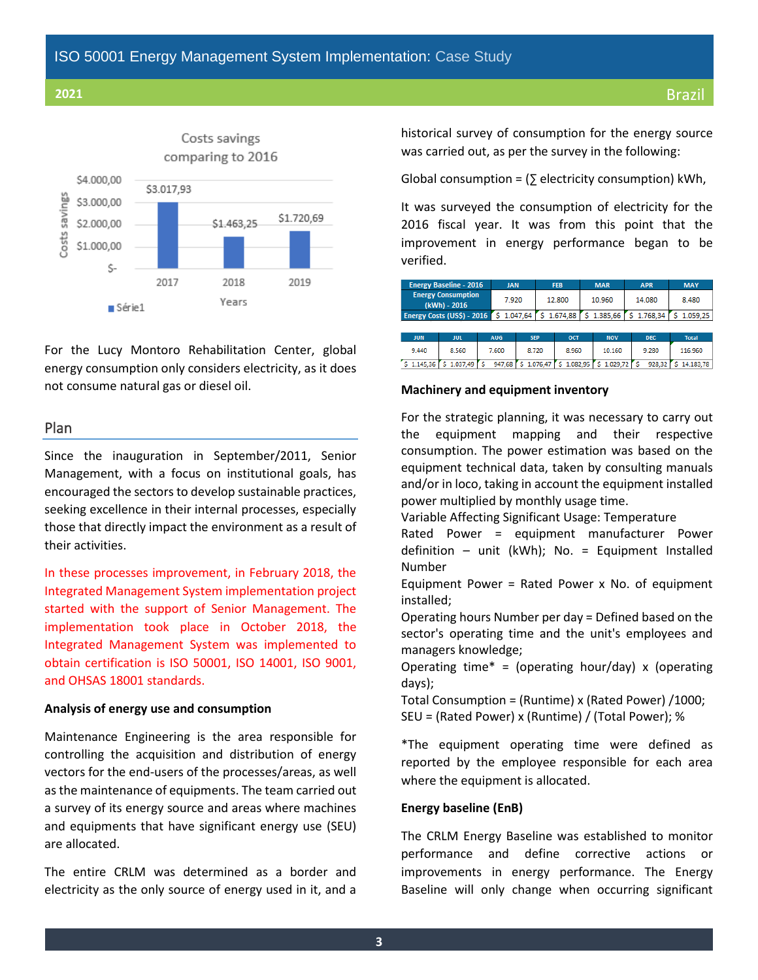

For the Lucy Montoro Rehabilitation Center, global energy consumption only considers electricity, as it does not consume natural gas or diesel oil.

### Plan

Since the inauguration in September/2011, Senior Management, with a focus on institutional goals, has encouraged the sectors to develop sustainable practices, seeking excellence in their internal processes, especially those that directly impact the environment as a result of their activities.

In these processes improvement, in February 2018, the Integrated Management System implementation project started with the support of Senior Management. The implementation took place in October 2018, the Integrated Management System was implemented to obtain certification is ISO 50001, ISO 14001, ISO 9001, and OHSAS 18001 standards.

### **Analysis of energy use and consumption**

Maintenance Engineering is the area responsible for controlling the acquisition and distribution of energy vectors for the end-users of the processes/areas, as well as the maintenance of equipments. The team carried out a survey of its energy source and areas where machines and equipments that have significant energy use (SEU) are allocated.

The entire CRLM was determined as a border and electricity as the only source of energy used in it, and a historical survey of consumption for the energy source was carried out, as per the survey in the following:

Global consumption =  $($   $\sqrt{}$  electricity consumption) kWh,

It was surveyed the consumption of electricity for the 2016 fiscal year. It was from this point that the improvement in energy performance began to be verified.

|            | <b>Energy Baseline - 2016</b>             |  | <b>JAN</b> |            |          | <b>FEB</b> |  | <b>MAR</b> | <b>APR</b> | <b>MAY</b>   |
|------------|-------------------------------------------|--|------------|------------|----------|------------|--|------------|------------|--------------|
|            | <b>Energy Consumption</b><br>(kWh) - 2016 |  | 7.920      |            |          | 12,800     |  | 10.960     | 14.080     | 8.480        |
|            | Energy Costs (US\$) - 2016                |  |            | 1.047.64   |          | 1.674.88   |  | 1.385.66   | 1.768,34   | 1.059.25     |
|            |                                           |  |            |            |          |            |  |            |            |              |
| <b>JUN</b> | <b>JUL</b>                                |  | <b>AUG</b> | <b>SEP</b> |          | OCT        |  | <b>NOV</b> | <b>DEC</b> | <b>Total</b> |
| 9.440      | 8.560                                     |  | 7.600      | 8.720      |          | 8.960      |  | 10.160     | 9.280      | 116,960      |
| 1.145.36   | 1.037.49                                  |  | 947.68     |            | 1.076.47 | 1.082.95   |  | 1.029.72   | 928.32     | 14.183.78    |

### **Machinery and equipment inventory**

For the strategic planning, it was necessary to carry out the equipment mapping and their respective consumption. The power estimation was based on the equipment technical data, taken by consulting manuals and/or in loco, taking in account the equipment installed power multiplied by monthly usage time.

Variable Affecting Significant Usage: Temperature

Rated Power = equipment manufacturer Power definition – unit (kWh); No. = Equipment Installed Number

Equipment Power = Rated Power x No. of equipment installed;

Operating hours Number per day = Defined based on the sector's operating time and the unit's employees and managers knowledge;

Operating time\* = (operating hour/day) x (operating days);

Total Consumption = (Runtime) x (Rated Power) /1000; SEU = (Rated Power) x (Runtime) / (Total Power); %

\*The equipment operating time were defined as reported by the employee responsible for each area where the equipment is allocated.

### **Energy baseline (EnB)**

The CRLM Energy Baseline was established to monitor performance and define corrective actions or improvements in energy performance. The Energy Baseline will only change when occurring significant

**3**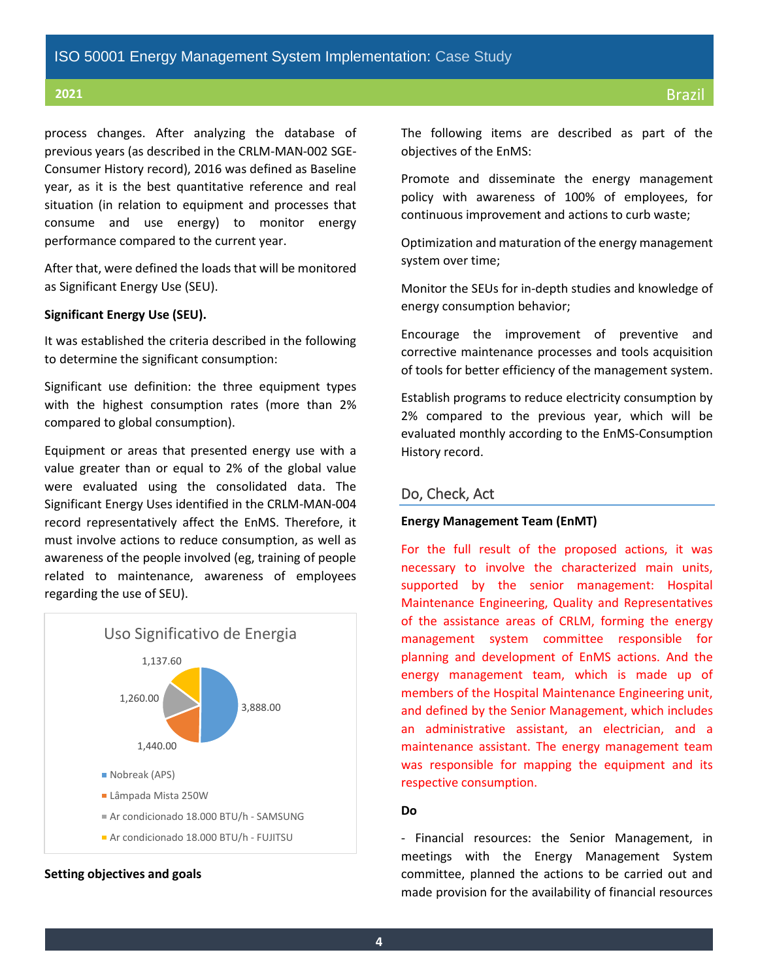process changes. After analyzing the database of previous years (as described in the CRLM-MAN-002 SGE-Consumer History record), 2016 was defined as Baseline year, as it is the best quantitative reference and real situation (in relation to equipment and processes that consume and use energy) to monitor energy performance compared to the current year.

After that, were defined the loads that will be monitored as Significant Energy Use (SEU).

### **Significant Energy Use (SEU).**

It was established the criteria described in the following to determine the significant consumption:

Significant use definition: the three equipment types with the highest consumption rates (more than 2% compared to global consumption).

Equipment or areas that presented energy use with a value greater than or equal to 2% of the global value were evaluated using the consolidated data. The Significant Energy Uses identified in the CRLM-MAN-004 record representatively affect the EnMS. Therefore, it must involve actions to reduce consumption, as well as awareness of the people involved (eg, training of people related to maintenance, awareness of employees regarding the use of SEU).



### **Setting objectives and goals**

The following items are described as part of the objectives of the EnMS:

Promote and disseminate the energy management policy with awareness of 100% of employees, for continuous improvement and actions to curb waste;

Optimization and maturation of the energy management system over time;

Monitor the SEUs for in-depth studies and knowledge of energy consumption behavior;

Encourage the improvement of preventive and corrective maintenance processes and tools acquisition of tools for better efficiency of the management system.

Establish programs to reduce electricity consumption by 2% compared to the previous year, which will be evaluated monthly according to the EnMS-Consumption History record.

### Do, Check, Act

### **Energy Management Team (EnMT)**

For the full result of the proposed actions, it was necessary to involve the characterized main units, supported by the senior management: Hospital Maintenance Engineering, Quality and Representatives of the assistance areas of CRLM, forming the energy management system committee responsible for planning and development of EnMS actions. And the energy management team, which is made up of members of the Hospital Maintenance Engineering unit, and defined by the Senior Management, which includes an administrative assistant, an electrician, and a maintenance assistant. The energy management team was responsible for mapping the equipment and its respective consumption.

### **Do**

- Financial resources: the Senior Management, in meetings with the Energy Management System committee, planned the actions to be carried out and made provision for the availability of financial resources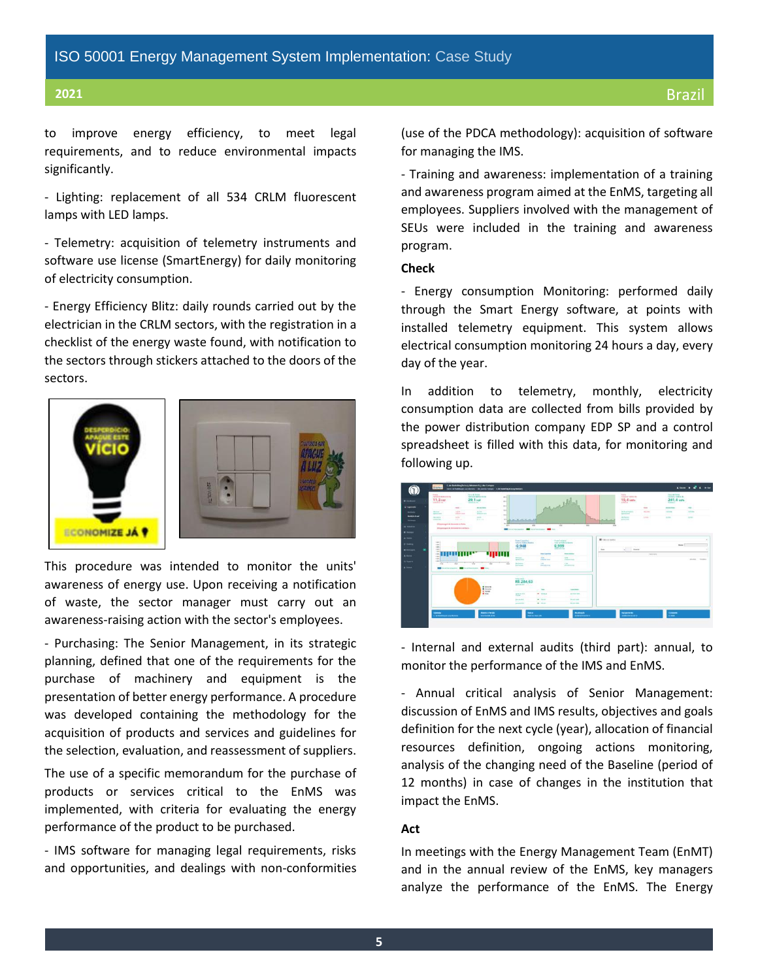to improve energy efficiency, to meet legal requirements, and to reduce environmental impacts significantly.

- Lighting: replacement of all 534 CRLM fluorescent lamps with LED lamps.

- Telemetry: acquisition of telemetry instruments and software use license (SmartEnergy) for daily monitoring of electricity consumption.

- Energy Efficiency Blitz: daily rounds carried out by the electrician in the CRLM sectors, with the registration in a checklist of the energy waste found, with notification to the sectors through stickers attached to the doors of the sectors.





This procedure was intended to monitor the units' awareness of energy use. Upon receiving a notification of waste, the sector manager must carry out an awareness-raising action with the sector's employees.

- Purchasing: The Senior Management, in its strategic planning, defined that one of the requirements for the purchase of machinery and equipment is the presentation of better energy performance. A procedure was developed containing the methodology for the acquisition of products and services and guidelines for the selection, evaluation, and reassessment of suppliers.

The use of a specific memorandum for the purchase of products or services critical to the EnMS was implemented, with criteria for evaluating the energy performance of the product to be purchased.

- IMS software for managing legal requirements, risks and opportunities, and dealings with non-conformities (use of the PDCA methodology): acquisition of software for managing the IMS.

- Training and awareness: implementation of a training and awareness program aimed at the EnMS, targeting all employees. Suppliers involved with the management of SEUs were included in the training and awareness program.

### **Check**

- Energy consumption Monitoring: performed daily through the Smart Energy software, at points with installed telemetry equipment. This system allows electrical consumption monitoring 24 hours a day, every day of the year.

In addition to telemetry, monthly, electricity consumption data are collected from bills provided by the power distribution company EDP SP and a control spreadsheet is filled with this data, for monitoring and following up.

| <b>Branch</b><br><b>Christine Constitution By Day</b><br>11.3 kw<br><b>SAN ANTICIPAL</b>                                                                                                                                                   | Futural Person<br>OV IN 19 HEATH ALTS!<br>29.1 pm<br>understanding Co.,              | min.<br>$-11$<br>mi i                                                                                                                                                                                                                                                                                                                                                                                                                                                                                                                                                                                 | anthe surge                                                                          |                                                           | <b><i><u>States</u></i></b><br><b><i>STERN CINE BLTR.</i></b><br>19.4 vww<br>Make 2020 |                                   | <b>Sales de Parme</b><br>TANKET TAX (STR)<br>241.4 um<br><b>SHARE</b> | त्राप्तः                                      |
|--------------------------------------------------------------------------------------------------------------------------------------------------------------------------------------------------------------------------------------------|--------------------------------------------------------------------------------------|-------------------------------------------------------------------------------------------------------------------------------------------------------------------------------------------------------------------------------------------------------------------------------------------------------------------------------------------------------------------------------------------------------------------------------------------------------------------------------------------------------------------------------------------------------------------------------------------------------|--------------------------------------------------------------------------------------|-----------------------------------------------------------|----------------------------------------------------------------------------------------|-----------------------------------|-----------------------------------------------------------------------|-----------------------------------------------|
| Arrest C<br>ing and<br>more.<br><b>MARKER</b><br>address of the<br><b>Agree</b><br><b>Hart Automotive</b><br>come de singer<br>page that<br><b>Efficial company of the Statements Inc. Roofers</b><br><b>Shrapenger &amp; Break Review</b> | Jones de Berner<br>ALC: U<br><b><i>START START</i></b><br>to an<br>part of the       | mid<br>$114 - 1$<br>$^{+1}$<br>ALL March Marine M.<br>n.<br><b>SEP</b><br><b>ALC</b><br>٠<br>$\sim$<br><b><i><u>Straited Edgmn</u></i></b><br><b><i><u><u><b>And an American Contract of the</b></u></u></i></b>                                                                                                                                                                                                                                                                                                                                                                                      | $\overline{1}$<br>Telep<br>m.                                                        | ÷                                                         | <b>Inclusive Property</b><br><b>WALKER</b><br>mines.<br><b>Address Street</b>          | -<br><b>STATE</b><br><b>Allen</b> | <b><i>Card and There</i></b><br><b>Laces</b><br>ALCOHOL:              | <b>Senior</b><br><b>LESSE</b><br><b>Allen</b> |
| <b>SECU</b><br><b>SALE</b><br>age 1<br>m<br>14.1                                                                                                                                                                                           |                                                                                      | <b>Participanthas</b><br>Future als Fredericks Advertiser<br>$-0,948$<br><b>Greener</b> was                                                                                                                                                                                                                                                                                                                                                                                                                                                                                                           | <b>Formited and</b><br>hang an Publican States<br>0,999<br><b>Artistina fe</b>       | <b>IN</b> FUEL IS ENTER<br><b>COLLECTION</b><br>in a<br>- | <b>Bandler</b><br>×                                                                    |                                   | <b>Bunn</b>                                                           |                                               |
| <b>ABLE</b><br>100<br><b>START OF</b><br>age of<br>---<br>w<br>×<br>m<br>a seleccionare.                                                                                                                                                   | <b>THEFT</b><br>w<br>w<br>                                                           | <b><i><u>State Council</u>y</i></b><br>Add To The<br><b>Bally Allen</b><br>Andrea Artista<br><b>Spinster</b><br>$-25$<br>144<br>iti imme<br><b><i>SHERRESS</i></b><br><b>LEASTER</b><br>$\sim$                                                                                                                                                                                                                                                                                                                                                                                                        | <b>Solution Service</b><br><b>START</b><br><b>CONTRACTOR</b><br>City.<br>present to: |                                                           |                                                                                        | turn dans                         |                                                                       | Jakabo Industry                               |
|                                                                                                                                                                                                                                            | <b>B</b> Extends<br>· Gours<br><b>K</b> Inputs<br><b><i><u>@ home</u></i></b><br>- 1 | <b>Convention</b> Listers<br>R\$ 284,63<br>about \$4,000<br>$\frac{1}{2}$<br>$\frac{1}{2} \left( \frac{1}{2} \right) \left( \frac{1}{2} \right) \left( \frac{1}{2} \right) \left( \frac{1}{2} \right) \left( \frac{1}{2} \right) \left( \frac{1}{2} \right) \left( \frac{1}{2} \right) \left( \frac{1}{2} \right) \left( \frac{1}{2} \right) \left( \frac{1}{2} \right) \left( \frac{1}{2} \right) \left( \frac{1}{2} \right) \left( \frac{1}{2} \right) \left( \frac{1}{2} \right) \left( \frac{1}{2} \right) \left( \frac{1}{2} \right) \left( \frac$<br>W. Miller<br><b>MARINER</b><br><b>SANT</b> | <b>SALES</b><br><b>Color Banks</b><br><b>MAGAZINE</b>                                |                                                           |                                                                                        |                                   |                                                                       |                                               |

- Internal and external audits (third part): annual, to monitor the performance of the IMS and EnMS.

- Annual critical analysis of Senior Management: discussion of EnMS and IMS results, objectives and goals definition for the next cycle (year), allocation of financial resources definition, ongoing actions monitoring, analysis of the changing need of the Baseline (period of 12 months) in case of changes in the institution that impact the EnMS.

### **Act**

In meetings with the Energy Management Team (EnMT) and in the annual review of the EnMS, key managers analyze the performance of the EnMS. The Energy